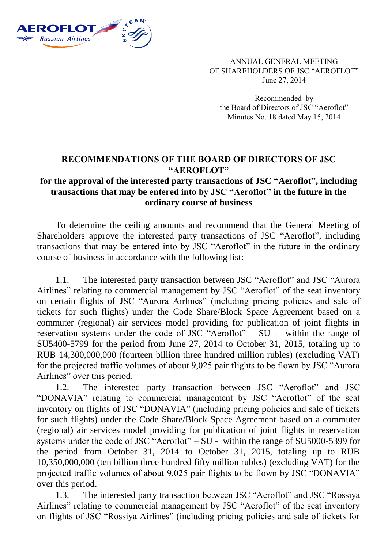

ANNUAL GENERAL MEETING OF SHAREHOLDERS OF JSC "AEROFLOT" June 27, 2014

Recommended by the Board of Directors of JSC "Aeroflot" Minutes No. 18 dated May 15, 2014

## **RECOMMENDATIONS OF THE BOARD OF DIRECTORS OF JSC "AEROFLOT"**

## **for the approval of the interested party transactions of JSC "Aeroflot", including transactions that may be entered into by JSC "Aeroflot" in the future in the ordinary course of business**

To determine the ceiling amounts and recommend that the General Meeting of Shareholders approve the interested party transactions of JSC "Aeroflot", including transactions that may be entered into by JSC "Aeroflot" in the future in the ordinary course of business in accordance with the following list:

1.1. The interested party transaction between JSC "Aeroflot" and JSC "Aurora Airlines" relating to commercial management by JSC "Aeroflot" of the seat inventory on certain flights of JSC "Aurora Airlines" (including pricing policies and sale of tickets for such flights) under the Code Share/Block Space Agreement based on a commuter (regional) air services model providing for publication of joint flights in reservation systems under the code of JSC "Aeroflot" – SU - within the range of SU5400-5799 for the period from June 27, 2014 to October 31, 2015, totaling up to RUB 14,300,000,000 (fourteen billion three hundred million rubles) (excluding VAT) for the projected traffic volumes of about 9,025 pair flights to be flown by JSC "Aurora Airlines" over this period.

1.2. The interested party transaction between JSC "Aeroflot" and JSC "DONAVIA" relating to commercial management by JSC "Aeroflot" of the seat inventory on flights of JSC "DONAVIA" (including pricing policies and sale of tickets for such flights) under the Code Share/Block Space Agreement based on a commuter (regional) air services model providing for publication of joint flights in reservation systems under the code of JSC "Aeroflot" – SU - within the range of SU5000-5399 for the period from October 31, 2014 to October 31, 2015, totaling up to RUB 10,350,000,000 (ten billion three hundred fifty million rubles) (excluding VAT) for the projected traffic volumes of about 9,025 pair flights to be flown by JSC "DONAVIA" over this period.

1.3. The interested party transaction between JSC "Aeroflot" and JSC "Rossiya Airlines" relating to commercial management by JSC "Aeroflot" of the seat inventory on flights of JSC "Rossiya Airlines" (including pricing policies and sale of tickets for